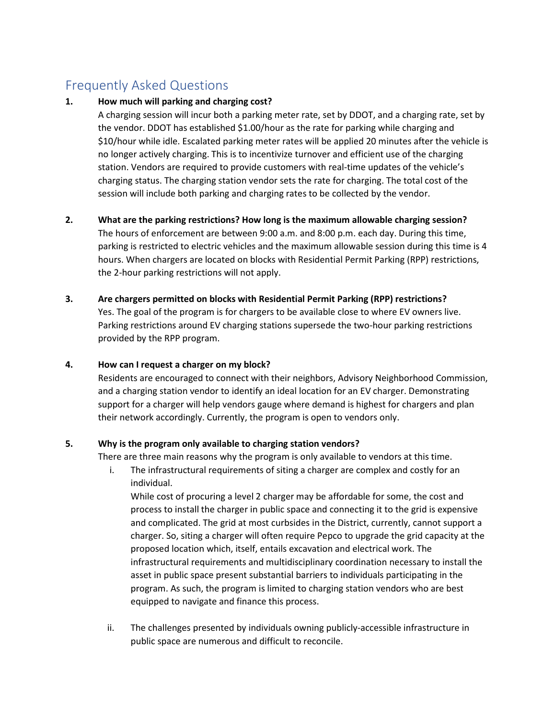# Frequently Asked Questions

#### 1. How much will parking and charging cost?

A charging session will incur both a parking meter rate, set by DDOT, and a charging rate, set by the vendor. DDOT has established \$1.00/hour as the rate for parking while charging and \$10/hour while idle. Escalated parking meter rates will be applied 20 minutes after the vehicle is no longer actively charging. This is to incentivize turnover and efficient use of the charging station. Vendors are required to provide customers with real-time updates of the vehicle's charging status. The charging station vendor sets the rate for charging. The total cost of the session will include both parking and charging rates to be collected by the vendor.

## 2. What are the parking restrictions? How long is the maximum allowable charging session?

The hours of enforcement are between 9:00 a.m. and 8:00 p.m. each day. During this time, parking is restricted to electric vehicles and the maximum allowable session during this time is 4 hours. When chargers are located on blocks with Residential Permit Parking (RPP) restrictions, the 2-hour parking restrictions will not apply.

#### 3. Are chargers permitted on blocks with Residential Permit Parking (RPP) restrictions?

Yes. The goal of the program is for chargers to be available close to where EV owners live. Parking restrictions around EV charging stations supersede the two-hour parking restrictions provided by the RPP program.

#### 4. How can I request a charger on my block?

Residents are encouraged to connect with their neighbors, Advisory Neighborhood Commission, and a charging station vendor to identify an ideal location for an EV charger. Demonstrating support for a charger will help vendors gauge where demand is highest for chargers and plan their network accordingly. Currently, the program is open to vendors only.

#### 5. Why is the program only available to charging station vendors?

There are three main reasons why the program is only available to vendors at this time.

i. The infrastructural requirements of siting a charger are complex and costly for an individual.

While cost of procuring a level 2 charger may be affordable for some, the cost and process to install the charger in public space and connecting it to the grid is expensive and complicated. The grid at most curbsides in the District, currently, cannot support a charger. So, siting a charger will often require Pepco to upgrade the grid capacity at the proposed location which, itself, entails excavation and electrical work. The infrastructural requirements and multidisciplinary coordination necessary to install the asset in public space present substantial barriers to individuals participating in the program. As such, the program is limited to charging station vendors who are best equipped to navigate and finance this process.

ii. The challenges presented by individuals owning publicly-accessible infrastructure in public space are numerous and difficult to reconcile.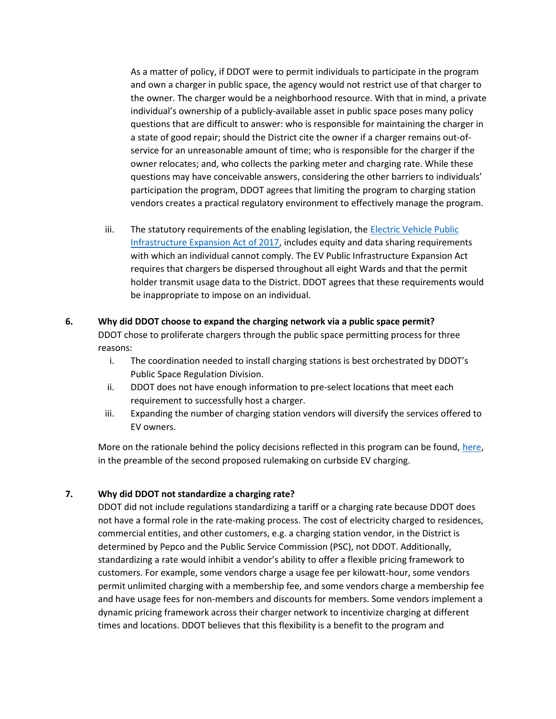As a matter of policy, if DDOT were to permit individuals to participate in the program and own a charger in public space, the agency would not restrict use of that charger to the owner. The charger would be a neighborhood resource. With that in mind, a private individual's ownership of a publicly-available asset in public space poses many policy questions that are difficult to answer: who is responsible for maintaining the charger in a state of good repair; should the District cite the owner if a charger remains out-ofservice for an unreasonable amount of time; who is responsible for the charger if the owner relocates; and, who collects the parking meter and charging rate. While these questions may have conceivable answers, considering the other barriers to individuals' participation the program, DDOT agrees that limiting the program to charging station vendors creates a practical regulatory environment to effectively manage the program.

iii. The statutory requirements of the enabling legislation, the Electric Vehicle Public Infrastructure Expansion Act of 2017, includes equity and data sharing requirements with which an individual cannot comply. The EV Public Infrastructure Expansion Act requires that chargers be dispersed throughout all eight Wards and that the permit holder transmit usage data to the District. DDOT agrees that these requirements would be inappropriate to impose on an individual.

### 6. Why did DDOT choose to expand the charging network via a public space permit? DDOT chose to proliferate chargers through the public space permitting process for three reasons:

- i. The coordination needed to install charging stations is best orchestrated by DDOT's Public Space Regulation Division.
- ii. DDOT does not have enough information to pre-select locations that meet each requirement to successfully host a charger.
- iii. Expanding the number of charging station vendors will diversify the services offered to EV owners.

More on the rationale behind the policy decisions reflected in this program can be found, here, in the preamble of the second proposed rulemaking on curbside EV charging.

#### 7. Why did DDOT not standardize a charging rate?

DDOT did not include regulations standardizing a tariff or a charging rate because DDOT does not have a formal role in the rate-making process. The cost of electricity charged to residences, commercial entities, and other customers, e.g. a charging station vendor, in the District is determined by Pepco and the Public Service Commission (PSC), not DDOT. Additionally, standardizing a rate would inhibit a vendor's ability to offer a flexible pricing framework to customers. For example, some vendors charge a usage fee per kilowatt-hour, some vendors permit unlimited charging with a membership fee, and some vendors charge a membership fee and have usage fees for non-members and discounts for members. Some vendors implement a dynamic pricing framework across their charger network to incentivize charging at different times and locations. DDOT believes that this flexibility is a benefit to the program and